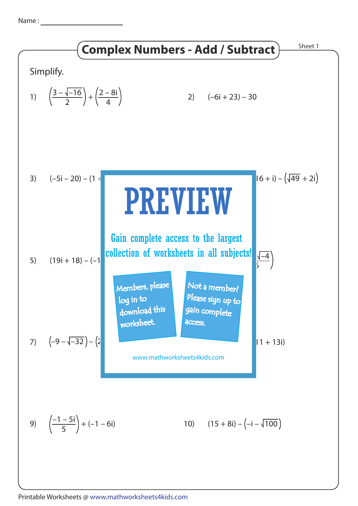